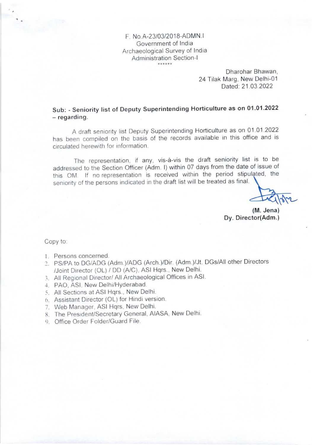F. No 4-23103/201B-ADMN.l Government of lndia Archaeological Survey of India Administration Section-I

> Dharohar Bhawan, 24 Tilak Marg, New Delhi-01 Dated: 21.03.2022

Sub: - Seniority list of Deputy Superintending Horticulture as on 01.01.2022 - regarding.

A draft seniority list Deputy Superintending Horticulture as on 01 01 2022 has been compiled on the basis of the records available in this office and is circulated herewith for information.

The representation, if any, vis-à-vis the draft seniority list is to be addressed to the Section Officer (Adm. I) within 07 days from the date of issue of this OM. If no representation is received within the period stipulated, the seniority of the persons indicated in the draft list will be treated as final.

(M. Jena) Dy. Director(Adm.)

Copy to.

- l. Persons concerned.
- 2. PS/PA to DG/ADG (Adm.)/ADG (Arch.)/Dir. (Adm.)/Jt. DGs/All other Directors /Joint Director (OL) / DD (A/C) ASI Hqrs., New Delhi.
- 3. All Regional Director/ All Archaeological Offices in ASl.
- 4. PAO, ASl, New Delhi/HYderabad.
- 5. All Sections at ASI Hqrs., New Delhi.
- 6. Assistant Director (OL) for Hindi version
- 7. Web Manager, ASI Hqrs, New Delhi.
- 8. The President/Secretary General, AIASA, New Delhi.
- 9. Office Order Folder/Guard File.